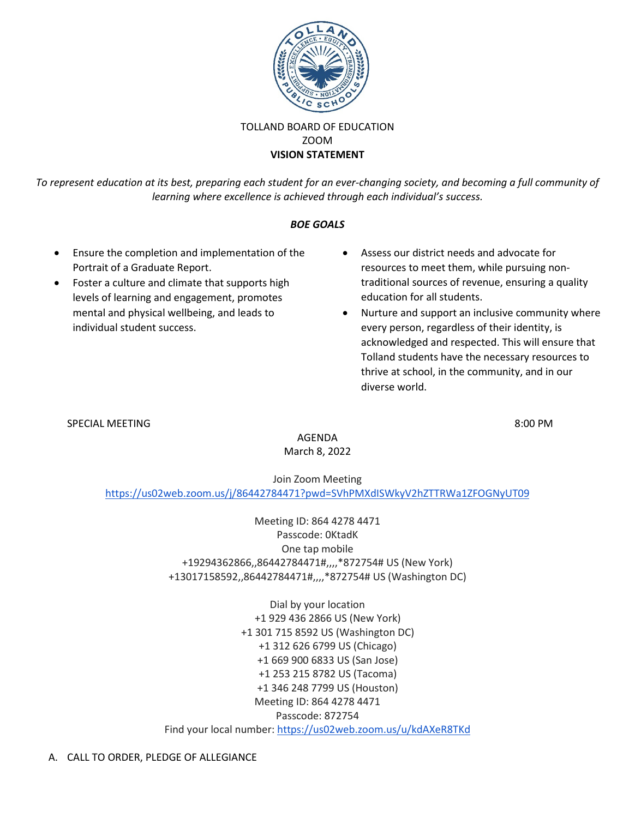

## TOLLAND BOARD OF EDUCATION ZOOM **VISION STATEMENT**

*To represent education at its best, preparing each student for an ever-changing society, and becoming a full community of learning where excellence is achieved through each individual's success.*

## *BOE GOALS*

- Ensure the completion and implementation of the Portrait of a Graduate Report.
- Foster a culture and climate that supports high levels of learning and engagement, promotes mental and physical wellbeing, and leads to individual student success.
- Assess our district needs and advocate for resources to meet them, while pursuing nontraditional sources of revenue, ensuring a quality education for all students.
- Nurture and support an inclusive community where every person, regardless of their identity, is acknowledged and respected. This will ensure that Tolland students have the necessary resources to thrive at school, in the community, and in our diverse world.

## SPECIAL MEETING 8:00 PM

AGENDA March 8, 2022

Join Zoom Meeting <https://us02web.zoom.us/j/86442784471?pwd=SVhPMXdISWkyV2hZTTRWa1ZFOGNyUT09>

> Meeting ID: 864 4278 4471 Passcode: 0KtadK One tap mobile +19294362866,,86442784471#,,,,\*872754# US (New York) +13017158592,,86442784471#,,,,\*872754# US (Washington DC)

Dial by your location +1 929 436 2866 US (New York) +1 301 715 8592 US (Washington DC) +1 312 626 6799 US (Chicago) +1 669 900 6833 US (San Jose) +1 253 215 8782 US (Tacoma) +1 346 248 7799 US (Houston) Meeting ID: 864 4278 4471 Passcode: 872754 Find your local number: <https://us02web.zoom.us/u/kdAXeR8TKd>